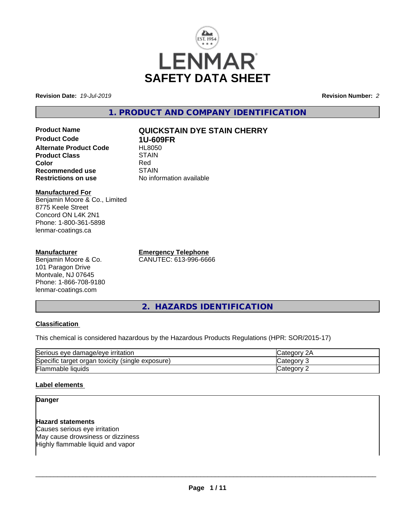

**Revision Date:** *19-Jul-2019* **Revision Number:** *2*

**1. PRODUCT AND COMPANY IDENTIFICATION**

# **Product Name QUICKSTAIN DYE STAIN CHERRY Product Code 1U-609FR Alternate Product Code FIL8050**<br>Product Class STAIN **Product Class** STAIN STAIN STAIN STAIN Red **Color** Red **Recommended use** STAIN<br> **Restrictions on use** No info

#### **Manufactured For** Benjamin Moore & Co., Limited 8775 Keele Street Concord ON L4K 2N1 Phone: 1-800-361-5898 lenmar-coatings.ca

# **Manufacturer**

Benjamin Moore & Co. 101 Paragon Drive Montvale, NJ 07645 Phone: 1-866-708-9180 lenmar-coatings.com

**Emergency Telephone** CANUTEC: 613-996-6666

**No information available** 

**2. HAZARDS IDENTIFICATION**

# **Classification**

This chemical is considered hazardous by the Hazardous Products Regulations (HPR: SOR/2015-17)

| Serious eye damage/eye irritation                | ICategorv<br>ZΡ |
|--------------------------------------------------|-----------------|
| Specific target organ toxicity (single exposure) | Category        |
| Flammable liquids                                | ∵ategorvٽ       |

# **Label elements**

# **Danger**

# **Hazard statements**

Causes serious eye irritation May cause drowsiness or dizziness Highly flammable liquid and vapor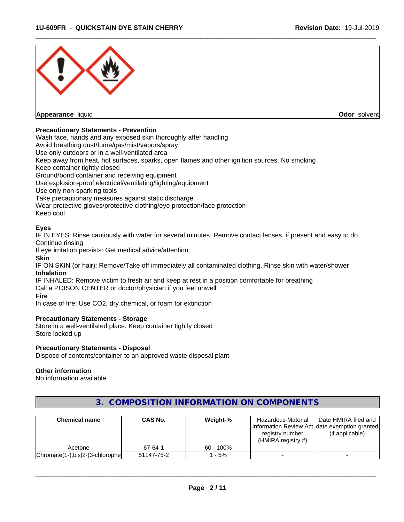

### **Precautionary Statements - Prevention**

Wash face, hands and any exposed skin thoroughly after handling

Avoid breathing dust/fume/gas/mist/vapors/spray

Use only outdoors or in a well-ventilated area

Keep away from heat, hot surfaces, sparks, open flames and other ignition sources. No smoking

Keep container tightly closed

Ground/bond container and receiving equipment

Use explosion-proof electrical/ventilating/lighting/equipment

Use only non-sparking tools

Take precautionary measures against static discharge

Wear protective gloves/protective clothing/eye protection/face protection

Keep cool

#### **Eyes**

IF IN EYES: Rinse cautiously with water for several minutes. Remove contact lenses, if present and easy to do. Continue rinsing

If eye irritation persists: Get medical advice/attention

#### **Skin**

IF ON SKIN (or hair): Remove/Take off immediately all contaminated clothing. Rinse skin with water/shower **Inhalation**

IF INHALED: Remove victim to fresh air and keep at rest in a position comfortable for breathing Call a POISON CENTER or doctor/physician if you feel unwell

#### **Fire**

In case of fire: Use CO2, dry chemical, or foam for extinction

#### **Precautionary Statements - Storage**

Store in a well-ventilated place. Keep container tightly closed Store locked up

#### **Precautionary Statements - Disposal**

Dispose of contents/container to an approved waste disposal plant

#### **Other information**

No information available

| <b>Chemical name</b>             | CAS No.    | Weight-%     | Hazardous Material                                                | Date HMIRA filed and |
|----------------------------------|------------|--------------|-------------------------------------------------------------------|----------------------|
|                                  |            |              | Information Review Act Idate exemption granted<br>registry number | (if applicable)      |
| Acetone                          | 67-64-1    | $60 - 100\%$ | (HMIRA registry $#$ )                                             |                      |
| Chromate(1-),bis[2-(3-chlorophe] | 51147-75-2 | $-5\%$       |                                                                   |                      |

# **3. COMPOSITION INFORMATION ON COMPONENTS**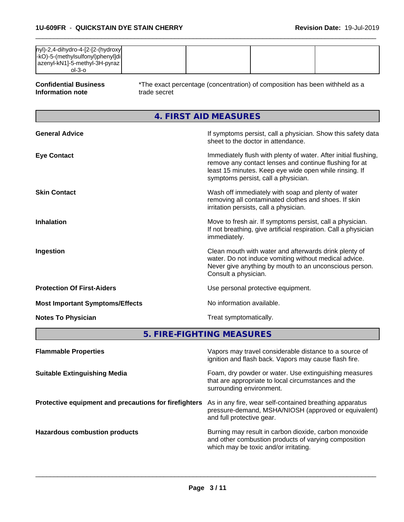| $ ny $ )-2,4-dihydro-4- $[2-[2-(hydroxy)]$<br> -kO)-5-(methylsulfonyl)phenyl]di |  |  |
|---------------------------------------------------------------------------------|--|--|
| azenyl-kN1]-5-methyl-3H-pyraz  <br>ol-3-o                                       |  |  |

**Confidential Business Information note**

\*The exact percentage (concentration) of composition has been withheld as a trade secret

 $\overline{\phantom{a}}$  ,  $\overline{\phantom{a}}$  ,  $\overline{\phantom{a}}$  ,  $\overline{\phantom{a}}$  ,  $\overline{\phantom{a}}$  ,  $\overline{\phantom{a}}$  ,  $\overline{\phantom{a}}$  ,  $\overline{\phantom{a}}$  ,  $\overline{\phantom{a}}$  ,  $\overline{\phantom{a}}$  ,  $\overline{\phantom{a}}$  ,  $\overline{\phantom{a}}$  ,  $\overline{\phantom{a}}$  ,  $\overline{\phantom{a}}$  ,  $\overline{\phantom{a}}$  ,  $\overline{\phantom{a}}$ 

**4. FIRST AID MEASURES**

| <b>General Advice</b>                  | If symptoms persist, call a physician. Show this safety data<br>sheet to the doctor in attendance.                                                                                                                         |
|----------------------------------------|----------------------------------------------------------------------------------------------------------------------------------------------------------------------------------------------------------------------------|
| <b>Eye Contact</b>                     | Immediately flush with plenty of water. After initial flushing,<br>remove any contact lenses and continue flushing for at<br>least 15 minutes. Keep eye wide open while rinsing. If<br>symptoms persist, call a physician. |
| <b>Skin Contact</b>                    | Wash off immediately with soap and plenty of water<br>removing all contaminated clothes and shoes. If skin<br>irritation persists, call a physician.                                                                       |
| <b>Inhalation</b>                      | Move to fresh air. If symptoms persist, call a physician.<br>If not breathing, give artificial respiration. Call a physician<br>immediately.                                                                               |
| Ingestion                              | Clean mouth with water and afterwards drink plenty of<br>water. Do not induce vomiting without medical advice.<br>Never give anything by mouth to an unconscious person.<br>Consult a physician.                           |
| <b>Protection Of First-Aiders</b>      | Use personal protective equipment.                                                                                                                                                                                         |
| <b>Most Important Symptoms/Effects</b> | No information available.                                                                                                                                                                                                  |
| <b>Notes To Physician</b>              | Treat symptomatically.                                                                                                                                                                                                     |

**5. FIRE-FIGHTING MEASURES**

| <b>Flammable Properties</b>                           | Vapors may travel considerable distance to a source of<br>ignition and flash back. Vapors may cause flash fire.                                        |
|-------------------------------------------------------|--------------------------------------------------------------------------------------------------------------------------------------------------------|
| <b>Suitable Extinguishing Media</b>                   | Foam, dry powder or water. Use extinguishing measures<br>that are appropriate to local circumstances and the<br>surrounding environment.               |
| Protective equipment and precautions for firefighters | As in any fire, wear self-contained breathing apparatus<br>pressure-demand, MSHA/NIOSH (approved or equivalent)<br>and full protective gear.           |
| <b>Hazardous combustion products</b>                  | Burning may result in carbon dioxide, carbon monoxide<br>and other combustion products of varying composition<br>which may be toxic and/or irritating. |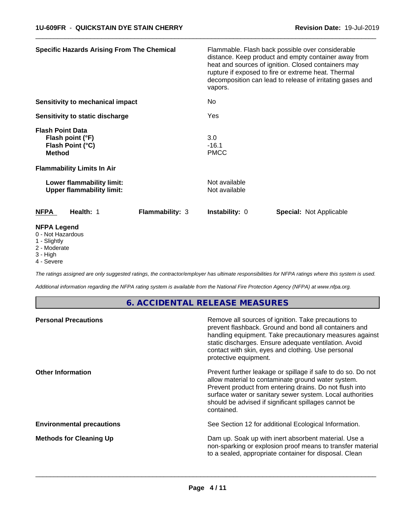| <b>Specific Hazards Arising From The Chemical</b>                                                                     |                        | Flammable. Flash back possible over considerable<br>distance. Keep product and empty container away from<br>heat and sources of ignition. Closed containers may<br>rupture if exposed to fire or extreme heat. Thermal<br>decomposition can lead to release of irritating gases and<br>vapors. |                                |  |  |  |
|-----------------------------------------------------------------------------------------------------------------------|------------------------|------------------------------------------------------------------------------------------------------------------------------------------------------------------------------------------------------------------------------------------------------------------------------------------------|--------------------------------|--|--|--|
| <b>Sensitivity to mechanical impact</b>                                                                               |                        | No                                                                                                                                                                                                                                                                                             |                                |  |  |  |
| Sensitivity to static discharge                                                                                       |                        | Yes                                                                                                                                                                                                                                                                                            |                                |  |  |  |
| <b>Flash Point Data</b><br>Flash point (°F)<br>Flash Point (°C)<br><b>Method</b><br><b>Flammability Limits In Air</b> |                        | 3.0<br>$-16.1$<br><b>PMCC</b>                                                                                                                                                                                                                                                                  |                                |  |  |  |
| Lower flammability limit:<br><b>Upper flammability limit:</b>                                                         |                        | Not available<br>Not available                                                                                                                                                                                                                                                                 |                                |  |  |  |
| <b>NFPA</b><br>Health: 1                                                                                              | <b>Flammability: 3</b> | <b>Instability: 0</b>                                                                                                                                                                                                                                                                          | <b>Special: Not Applicable</b> |  |  |  |
| <b>NFPA Legend</b><br>0 - Not Hazardous<br>1 - Slightly<br>2 - Moderate                                               |                        |                                                                                                                                                                                                                                                                                                |                                |  |  |  |

 $\overline{\phantom{a}}$  ,  $\overline{\phantom{a}}$  ,  $\overline{\phantom{a}}$  ,  $\overline{\phantom{a}}$  ,  $\overline{\phantom{a}}$  ,  $\overline{\phantom{a}}$  ,  $\overline{\phantom{a}}$  ,  $\overline{\phantom{a}}$  ,  $\overline{\phantom{a}}$  ,  $\overline{\phantom{a}}$  ,  $\overline{\phantom{a}}$  ,  $\overline{\phantom{a}}$  ,  $\overline{\phantom{a}}$  ,  $\overline{\phantom{a}}$  ,  $\overline{\phantom{a}}$  ,  $\overline{\phantom{a}}$ 

- 
- 3 High
- 4 Severe

*The ratings assigned are only suggested ratings, the contractor/employer has ultimate responsibilities for NFPA ratings where this system is used.*

*Additional information regarding the NFPA rating system is available from the National Fire Protection Agency (NFPA) at www.nfpa.org.*

# **6. ACCIDENTAL RELEASE MEASURES**

| <b>Personal Precautions</b>      | Remove all sources of ignition. Take precautions to<br>prevent flashback. Ground and bond all containers and<br>handling equipment. Take precautionary measures against<br>static discharges. Ensure adequate ventilation. Avoid<br>contact with skin, eyes and clothing. Use personal<br>protective equipment.  |
|----------------------------------|------------------------------------------------------------------------------------------------------------------------------------------------------------------------------------------------------------------------------------------------------------------------------------------------------------------|
| <b>Other Information</b>         | Prevent further leakage or spillage if safe to do so. Do not<br>allow material to contaminate ground water system.<br>Prevent product from entering drains. Do not flush into<br>surface water or sanitary sewer system. Local authorities<br>should be advised if significant spillages cannot be<br>contained. |
| <b>Environmental precautions</b> | See Section 12 for additional Ecological Information.                                                                                                                                                                                                                                                            |
| <b>Methods for Cleaning Up</b>   | Dam up. Soak up with inert absorbent material. Use a<br>non-sparking or explosion proof means to transfer material<br>to a sealed, appropriate container for disposal. Clean                                                                                                                                     |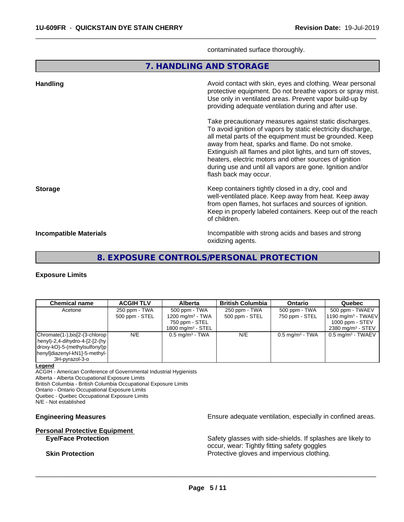contaminated surface thoroughly.

 $\overline{\phantom{a}}$  ,  $\overline{\phantom{a}}$  ,  $\overline{\phantom{a}}$  ,  $\overline{\phantom{a}}$  ,  $\overline{\phantom{a}}$  ,  $\overline{\phantom{a}}$  ,  $\overline{\phantom{a}}$  ,  $\overline{\phantom{a}}$  ,  $\overline{\phantom{a}}$  ,  $\overline{\phantom{a}}$  ,  $\overline{\phantom{a}}$  ,  $\overline{\phantom{a}}$  ,  $\overline{\phantom{a}}$  ,  $\overline{\phantom{a}}$  ,  $\overline{\phantom{a}}$  ,  $\overline{\phantom{a}}$ 

**7. HANDLING AND STORAGE**

| <b>Handling</b>               | Avoid contact with skin, eyes and clothing. Wear personal<br>protective equipment. Do not breathe vapors or spray mist.<br>Use only in ventilated areas. Prevent vapor build-up by<br>providing adequate ventilation during and after use.                                                                                                                                                                                                           |
|-------------------------------|------------------------------------------------------------------------------------------------------------------------------------------------------------------------------------------------------------------------------------------------------------------------------------------------------------------------------------------------------------------------------------------------------------------------------------------------------|
|                               | Take precautionary measures against static discharges.<br>To avoid ignition of vapors by static electricity discharge,<br>all metal parts of the equipment must be grounded. Keep<br>away from heat, sparks and flame. Do not smoke.<br>Extinguish all flames and pilot lights, and turn off stoves,<br>heaters, electric motors and other sources of ignition<br>during use and until all vapors are gone. Ignition and/or<br>flash back may occur. |
| <b>Storage</b>                | Keep containers tightly closed in a dry, cool and<br>well-ventilated place. Keep away from heat. Keep away<br>from open flames, hot surfaces and sources of ignition.<br>Keep in properly labeled containers. Keep out of the reach<br>of children.                                                                                                                                                                                                  |
| <b>Incompatible Materials</b> | Incompatible with strong acids and bases and strong<br>oxidizing agents.                                                                                                                                                                                                                                                                                                                                                                             |

# **8. EXPOSURE CONTROLS/PERSONAL PROTECTION**

#### **Exposure Limits**

| <b>Chemical name</b>                           | <b>ACGIH TLV</b> | <b>Alberta</b>                  | <b>British Columbia</b> | <b>Ontario</b>                | Quebec                           |
|------------------------------------------------|------------------|---------------------------------|-------------------------|-------------------------------|----------------------------------|
| Acetone                                        | 250 ppm - TWA    | 500 ppm - TWA                   | 250 ppm - TWA           | 500 ppm - TWA                 | 500 ppm - TWAEV                  |
|                                                | 500 ppm - STEL   | 1200 mg/m <sup>3</sup> - TWA    | 500 ppm - STEL          | 750 ppm - STEL                | $1190$ mg/m <sup>3</sup> - TWAEV |
|                                                |                  | 750 ppm - STEL                  |                         |                               | 1000 ppm - $STEV$                |
|                                                |                  | $1800$ mg/m <sup>3</sup> - STEL |                         |                               | 2380 mg/m $3 -$ STEV             |
| Chromate(1-),bis[2-(3-chlorop]                 | N/E              | $0.5$ mg/m <sup>3</sup> - TWA   | N/E                     | $0.5$ mg/m <sup>3</sup> - TWA | $0.5$ mg/m <sup>3</sup> - TWAEV  |
| $\vert$ henyl)-2,4-dihydro-4-[2-[2-(hy $\vert$ |                  |                                 |                         |                               |                                  |
| $ drawy-KO)-5-(methylsulfonyl)p $              |                  |                                 |                         |                               |                                  |
| henyl]diazenyl-kN1]-5-methyl-                  |                  |                                 |                         |                               |                                  |
| 3H-pyrazol-3-o                                 |                  |                                 |                         |                               |                                  |

#### **Legend**

ACGIH - American Conference of Governmental Industrial Hygienists

Alberta - Alberta Occupational Exposure Limits

British Columbia - British Columbia Occupational Exposure Limits

Ontario - Ontario Occupational Exposure Limits

Quebec - Quebec Occupational Exposure Limits N/E - Not established

# **Personal Protective Equipment**

**Engineering Measures Ensure 2018** Ensure adequate ventilation, especially in confined areas.

**Eye/Face Protection** Safety glasses with side-shields. If splashes are likely to occur, wear: Tightly fitting safety goggles **Skin Protection Protection** Protective gloves and impervious clothing.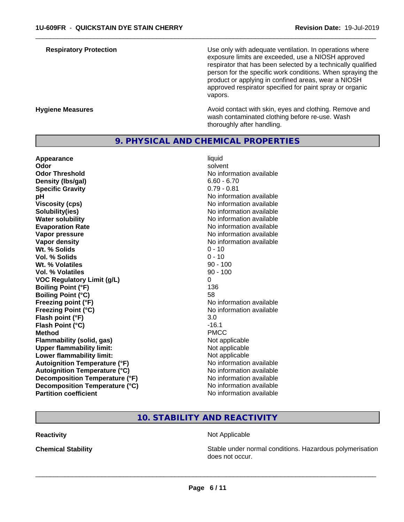**Respiratory Protection Number 1** (Use only with adequate ventilation. In operations where exposure limits are exceeded, use a NIOSH approved respirator that has been selected by a technically qualified person for the specific work conditions. When spraying the product or applying in confined areas, wear a NIOSH approved respirator specified for paint spray or organic vapors.

**Hygiene Measures Avoid contact with skin, eyes and clothing. Remove and Avoid contact with skin, eyes and clothing. Remove and Avoid contact with skin, eyes and clothing. Remove and** wash contaminated clothing before re-use. Wash thoroughly after handling.

# **9. PHYSICAL AND CHEMICAL PROPERTIES**

**Appearance** liquid **Odor** solvent **Odor Threshold No information available No information available Density (lbs/gal)** 6.60 - 6.70<br> **Specific Gravity** 6.60 - 6.70 **Specific Gravity pH** No information available **Viscosity (cps)** No information available Notice 1, 1999 **Solubility(ies)** No information available **Water solubility** No information available **Evaporation Rate No information available No information available Vapor pressure** No information available **Vapor density No information available No information available Wt.** % Solids 0 - 10 **Vol. % Solids** 0 - 10 **Wt. % Volatiles** 90 - 100 **Vol. % Volatiles VOC Regulatory Limit (g/L)** 0 **Boiling Point (°F)** 136 **Boiling Point (°C)** 58 **Freezing point (°F)** No information available **Freezing Point (°C)** The state of the Monometer of Noinformation available **Flash point (°F)** 3.0 **Flash Point (°C)** -16.1 **Method** PMCC **Flammability (solid, gas)** Not applicable **Upper flammability limit:**<br> **Lower flammability limit:** Not applicable Not applicable **Lower flammability limit:**<br> **Autoignition Temperature (°F)** Not applicable have not available **Autoignition Temperature (°F) Autoignition Temperature (°C)** No information available **Decomposition Temperature (°F)** No information available **Decomposition Temperature (°C)** No information available **Partition coefficient** No information available

 $\overline{\phantom{a}}$  ,  $\overline{\phantom{a}}$  ,  $\overline{\phantom{a}}$  ,  $\overline{\phantom{a}}$  ,  $\overline{\phantom{a}}$  ,  $\overline{\phantom{a}}$  ,  $\overline{\phantom{a}}$  ,  $\overline{\phantom{a}}$  ,  $\overline{\phantom{a}}$  ,  $\overline{\phantom{a}}$  ,  $\overline{\phantom{a}}$  ,  $\overline{\phantom{a}}$  ,  $\overline{\phantom{a}}$  ,  $\overline{\phantom{a}}$  ,  $\overline{\phantom{a}}$  ,  $\overline{\phantom{a}}$ 

# **10. STABILITY AND REACTIVITY**

**Reactivity** Not Applicable

 $\overline{\phantom{a}}$  ,  $\overline{\phantom{a}}$  ,  $\overline{\phantom{a}}$  ,  $\overline{\phantom{a}}$  ,  $\overline{\phantom{a}}$  ,  $\overline{\phantom{a}}$  ,  $\overline{\phantom{a}}$  ,  $\overline{\phantom{a}}$  ,  $\overline{\phantom{a}}$  ,  $\overline{\phantom{a}}$  ,  $\overline{\phantom{a}}$  ,  $\overline{\phantom{a}}$  ,  $\overline{\phantom{a}}$  ,  $\overline{\phantom{a}}$  ,  $\overline{\phantom{a}}$  ,  $\overline{\phantom{a}}$ 

**Chemical Stability Stability** Stable under normal conditions. Hazardous polymerisation does not occur.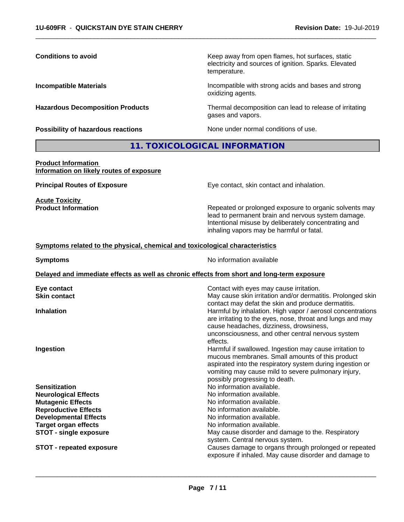| <b>Conditions to avoid</b>                                                   | Keep away from open flames, hot surfaces, static<br>electricity and sources of ignition. Sparks. Elevated<br>temperature.                                                                                                                                                                                                                  |
|------------------------------------------------------------------------------|--------------------------------------------------------------------------------------------------------------------------------------------------------------------------------------------------------------------------------------------------------------------------------------------------------------------------------------------|
| <b>Incompatible Materials</b>                                                | Incompatible with strong acids and bases and strong<br>oxidizing agents.                                                                                                                                                                                                                                                                   |
| <b>Hazardous Decomposition Products</b>                                      | Thermal decomposition can lead to release of irritating<br>gases and vapors.                                                                                                                                                                                                                                                               |
| <b>Possibility of hazardous reactions</b>                                    | None under normal conditions of use.                                                                                                                                                                                                                                                                                                       |
|                                                                              | 11. TOXICOLOGICAL INFORMATION                                                                                                                                                                                                                                                                                                              |
| <b>Product Information</b><br>Information on likely routes of exposure       |                                                                                                                                                                                                                                                                                                                                            |
| <b>Principal Routes of Exposure</b>                                          | Eye contact, skin contact and inhalation.                                                                                                                                                                                                                                                                                                  |
| <b>Acute Toxicity</b><br><b>Product Information</b>                          | Repeated or prolonged exposure to organic solvents may<br>lead to permanent brain and nervous system damage.<br>Intentional misuse by deliberately concentrating and<br>inhaling vapors may be harmful or fatal.                                                                                                                           |
| Symptoms related to the physical, chemical and toxicological characteristics |                                                                                                                                                                                                                                                                                                                                            |
| <b>Symptoms</b>                                                              | No information available                                                                                                                                                                                                                                                                                                                   |
|                                                                              | Delayed and immediate effects as well as chronic effects from short and long-term exposure                                                                                                                                                                                                                                                 |
| Eye contact<br><b>Skin contact</b>                                           | Contact with eyes may cause irritation.<br>May cause skin irritation and/or dermatitis. Prolonged skin                                                                                                                                                                                                                                     |
| <b>Inhalation</b>                                                            | contact may defat the skin and produce dermatitis.<br>Harmful by inhalation. High vapor / aerosol concentrations<br>are irritating to the eyes, nose, throat and lungs and may                                                                                                                                                             |
| Ingestion                                                                    | cause headaches, dizziness, drowsiness,<br>unconsciousness, and other central nervous system<br>effects.<br>Harmful if swallowed. Ingestion may cause irritation to<br>mucous membranes. Small amounts of this product<br>aspirated into the respiratory system during ingestion or<br>vomiting may cause mild to severe pulmonary injury, |

**Sensitization**<br> **No information available.**<br> **No information available.**<br>
No information available. **Neurological Effects**<br> **Mutagenic Effects**<br> **Mutagenic Effects**<br> **Mutagenic Effects Reproductive Effects<br>Developmental Effects Developmental Effects**<br> **Target organ effects**<br> **Target organ effects**<br> **No information available. STOT - single exposure** May cause disorder and damage to the. Respiratory

**STOT** - **repeated exposure Causes damage to organs through prolonged or repeated** 

**Page 7 / 11**

possibly progressing to death.

No information available.<br>No information available.

No information available.

 $\overline{\phantom{a}}$  ,  $\overline{\phantom{a}}$  ,  $\overline{\phantom{a}}$  ,  $\overline{\phantom{a}}$  ,  $\overline{\phantom{a}}$  ,  $\overline{\phantom{a}}$  ,  $\overline{\phantom{a}}$  ,  $\overline{\phantom{a}}$  ,  $\overline{\phantom{a}}$  ,  $\overline{\phantom{a}}$  ,  $\overline{\phantom{a}}$  ,  $\overline{\phantom{a}}$  ,  $\overline{\phantom{a}}$  ,  $\overline{\phantom{a}}$  ,  $\overline{\phantom{a}}$  ,  $\overline{\phantom{a}}$ 

system. Central nervous system.

exposure if inhaled. May cause disorder and damage to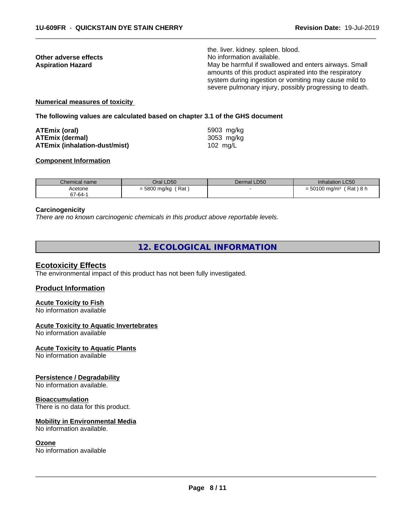the. liver. kidney. spleen. blood. **Other adverse effects**<br> **Aspiration Hazard**<br> **Aspiration Hazard**<br> **Aspiration Hazard** May be harmful if swallowed and enters airways. Small amounts of this product aspirated into the respiratory system during ingestion or vomiting may cause mild to severe pulmonary injury, possibly progressing to death.

 $\overline{\phantom{a}}$  ,  $\overline{\phantom{a}}$  ,  $\overline{\phantom{a}}$  ,  $\overline{\phantom{a}}$  ,  $\overline{\phantom{a}}$  ,  $\overline{\phantom{a}}$  ,  $\overline{\phantom{a}}$  ,  $\overline{\phantom{a}}$  ,  $\overline{\phantom{a}}$  ,  $\overline{\phantom{a}}$  ,  $\overline{\phantom{a}}$  ,  $\overline{\phantom{a}}$  ,  $\overline{\phantom{a}}$  ,  $\overline{\phantom{a}}$  ,  $\overline{\phantom{a}}$  ,  $\overline{\phantom{a}}$ 

### **Numerical measures of toxicity**

#### **The following values are calculated based on chapter 3.1 of the GHS document**

| ATEmix (oral)                 | 5903 mg/kg |
|-------------------------------|------------|
| <b>ATEmix (dermal)</b>        | 3053 mg/ka |
| ATEmix (inhalation-dust/mist) | 102 mg/L   |

### **Component Information**

| Chemical name | Oral LD50                        | Dermal LD50 | Inhalation LC50                        |
|---------------|----------------------------------|-------------|----------------------------------------|
| Acetone       | ƙ Rat<br>= 5800 mg/kg $\sqrt{ }$ |             | (Rat)8h<br>$= 50100$ mg/m <sup>3</sup> |
| 67-64-1       |                                  |             |                                        |

#### **Carcinogenicity**

*There are no known carcinogenic chemicals in this product above reportable levels.*

# **12. ECOLOGICAL INFORMATION**

#### **Ecotoxicity Effects**

The environmental impact of this product has not been fully investigated.

#### **Product Information**

# **Acute Toxicity to Fish**

No information available

### **Acute Toxicity to Aquatic Invertebrates**

No information available

#### **Acute Toxicity to Aquatic Plants**

No information available

#### **Persistence / Degradability**

No information available.

#### **Bioaccumulation**

There is no data for this product.

#### **Mobility in Environmental Media**

No information available.

#### **Ozone**

No information available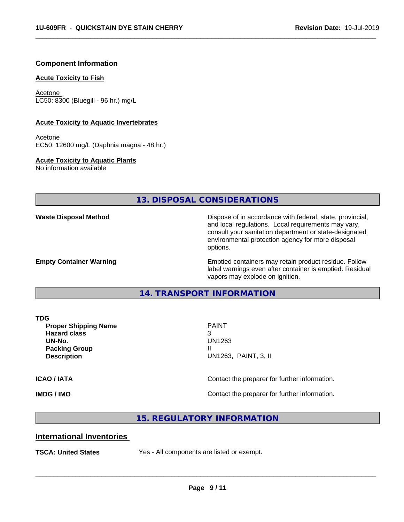# **Component Information**

#### **Acute Toxicity to Fish**

Acetone LC50: 8300 (Bluegill - 96 hr.) mg/L

#### **Acute Toxicity to Aquatic Invertebrates**

Acetone EC50: 12600 mg/L (Daphnia magna - 48 hr.)

**Acute Toxicity to Aquatic Plants**

No information available

# **13. DISPOSAL CONSIDERATIONS**

**Waste Disposal Method Dispose of in accordance with federal, state, provincial,** and local regulations. Local requirements may vary, consult your sanitation department or state-designated environmental protection agency for more disposal options.

**Empty Container Warning <b>Emptied** Containers may retain product residue. Follow label warnings even after container is emptied. Residual vapors may explode on ignition.

**14. TRANSPORT INFORMATION**

**Proper Shipping Name PAINT Hazard class** 3 **UN-No.** UN1263 **Packing Group III**<br> **Pescription** 

**Description** UN1263, PAINT, 3, II

 $\overline{\phantom{a}}$  ,  $\overline{\phantom{a}}$  ,  $\overline{\phantom{a}}$  ,  $\overline{\phantom{a}}$  ,  $\overline{\phantom{a}}$  ,  $\overline{\phantom{a}}$  ,  $\overline{\phantom{a}}$  ,  $\overline{\phantom{a}}$  ,  $\overline{\phantom{a}}$  ,  $\overline{\phantom{a}}$  ,  $\overline{\phantom{a}}$  ,  $\overline{\phantom{a}}$  ,  $\overline{\phantom{a}}$  ,  $\overline{\phantom{a}}$  ,  $\overline{\phantom{a}}$  ,  $\overline{\phantom{a}}$ 

 $\overline{\phantom{a}}$  ,  $\overline{\phantom{a}}$  ,  $\overline{\phantom{a}}$  ,  $\overline{\phantom{a}}$  ,  $\overline{\phantom{a}}$  ,  $\overline{\phantom{a}}$  ,  $\overline{\phantom{a}}$  ,  $\overline{\phantom{a}}$  ,  $\overline{\phantom{a}}$  ,  $\overline{\phantom{a}}$  ,  $\overline{\phantom{a}}$  ,  $\overline{\phantom{a}}$  ,  $\overline{\phantom{a}}$  ,  $\overline{\phantom{a}}$  ,  $\overline{\phantom{a}}$  ,  $\overline{\phantom{a}}$ 

**ICAO / IATA ICAO / IATA Contact the preparer for further information.** 

**IMDG / IMO IMO Contact the preparer for further information.** 

## **15. REGULATORY INFORMATION**

# **International Inventories**

**TSCA: United States** Yes - All components are listed or exempt.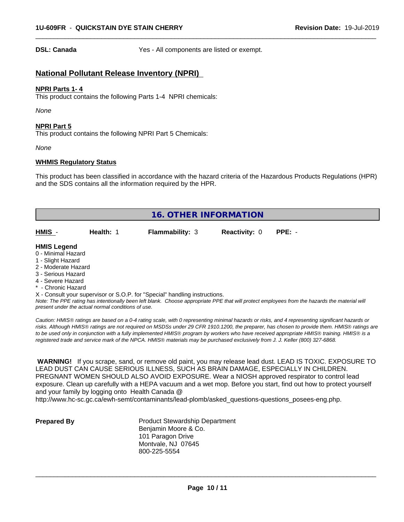**DSL: Canada** Yes - All components are listed or exempt.

 $\overline{\phantom{a}}$  ,  $\overline{\phantom{a}}$  ,  $\overline{\phantom{a}}$  ,  $\overline{\phantom{a}}$  ,  $\overline{\phantom{a}}$  ,  $\overline{\phantom{a}}$  ,  $\overline{\phantom{a}}$  ,  $\overline{\phantom{a}}$  ,  $\overline{\phantom{a}}$  ,  $\overline{\phantom{a}}$  ,  $\overline{\phantom{a}}$  ,  $\overline{\phantom{a}}$  ,  $\overline{\phantom{a}}$  ,  $\overline{\phantom{a}}$  ,  $\overline{\phantom{a}}$  ,  $\overline{\phantom{a}}$ 

# **National Pollutant Release Inventory (NPRI)**

### **NPRI Parts 1- 4**

This product contains the following Parts 1-4 NPRI chemicals:

*None*

#### **NPRI Part 5**

This product contains the following NPRI Part 5 Chemicals:

*None*

#### **WHMIS Regulatory Status**

This product has been classified in accordance with the hazard criteria of the Hazardous Products Regulations (HPR) and the SDS contains all the information required by the HPR.

| <b>16. OTHER INFORMATION</b> |  |                                                                            |  |  |  |  |
|------------------------------|--|----------------------------------------------------------------------------|--|--|--|--|
|                              |  |                                                                            |  |  |  |  |
| <b>HMIS Legend</b>           |  |                                                                            |  |  |  |  |
| 0 - Minimal Hazard           |  |                                                                            |  |  |  |  |
| 1 - Slight Hazard            |  |                                                                            |  |  |  |  |
| 2 - Moderate Hazard          |  |                                                                            |  |  |  |  |
| 3 - Serious Hazard           |  |                                                                            |  |  |  |  |
| 4 - Severe Hazard            |  |                                                                            |  |  |  |  |
| * - Chronic Hazard           |  |                                                                            |  |  |  |  |
|                              |  | X - Consult your supervisor or S.O.P. for "Special" handling instructions. |  |  |  |  |

*Note: The PPE rating has intentionally been left blank. Choose appropriate PPE that will protect employees from the hazards the material will present under the actual normal conditions of use.*

*Caution: HMISÒ ratings are based on a 0-4 rating scale, with 0 representing minimal hazards or risks, and 4 representing significant hazards or risks. Although HMISÒ ratings are not required on MSDSs under 29 CFR 1910.1200, the preparer, has chosen to provide them. HMISÒ ratings are to be used only in conjunction with a fully implemented HMISÒ program by workers who have received appropriate HMISÒ training. HMISÒ is a registered trade and service mark of the NPCA. HMISÒ materials may be purchased exclusively from J. J. Keller (800) 327-6868.*

 **WARNING!** If you scrape, sand, or remove old paint, you may release lead dust. LEAD IS TOXIC. EXPOSURE TO LEAD DUST CAN CAUSE SERIOUS ILLNESS, SUCH AS BRAIN DAMAGE, ESPECIALLY IN CHILDREN. PREGNANT WOMEN SHOULD ALSO AVOID EXPOSURE.Wear a NIOSH approved respirator to control lead exposure. Clean up carefully with a HEPA vacuum and a wet mop. Before you start, find out how to protect yourself and your family by logging onto Health Canada @

http://www.hc-sc.gc.ca/ewh-semt/contaminants/lead-plomb/asked\_questions-questions\_posees-eng.php.

**Prepared By** Product Stewardship Department Benjamin Moore & Co. 101 Paragon Drive Montvale, NJ 07645 800-225-5554